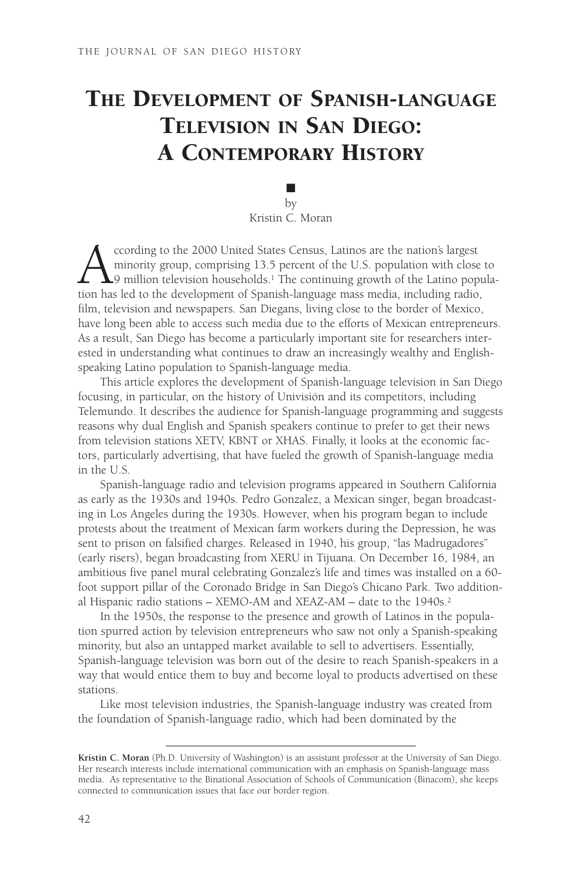# THE DEVELOPMENT OF SPANISH-LANGUAGE TELEVISION IN SAN DIEGO: A CONTEMPORARY HISTORY

■ by Kristin C. Moran

cording to the 2000 United States Census, Latinos are the nation's largest<br>minority group, comprising 13.5 percent of the U.S. population with close<br>of the Latino population has led to the development of Spanish-language m minority group, comprising 13.5 percent of the U.S. population with close to  $\blacktriangle$ 9 million television households.<sup>1</sup> The continuing growth of the Latino population has led to the development of Spanish-language mass media, including radio, film, television and newspapers. San Diegans, living close to the border of Mexico, have long been able to access such media due to the efforts of Mexican entrepreneurs. As a result, San Diego has become a particularly important site for researchers interested in understanding what continues to draw an increasingly wealthy and Englishspeaking Latino population to Spanish-language media.

This article explores the development of Spanish-language television in San Diego focusing, in particular, on the history of Univisión and its competitors, including Telemundo. It describes the audience for Spanish-language programming and suggests reasons why dual English and Spanish speakers continue to prefer to get their news from television stations XETV, KBNT or XHAS. Finally, it looks at the economic factors, particularly advertising, that have fueled the growth of Spanish-language media in the U.S.

Spanish-language radio and television programs appeared in Southern California as early as the 1930s and 1940s. Pedro Gonzalez, a Mexican singer, began broadcasting in Los Angeles during the 1930s. However, when his program began to include protests about the treatment of Mexican farm workers during the Depression, he was sent to prison on falsified charges. Released in 1940, his group, "las Madrugadores" (early risers), began broadcasting from XERU in Tijuana. On December 16, 1984, an ambitious five panel mural celebrating Gonzalez's life and times was installed on a 60 foot support pillar of the Coronado Bridge in San Diego's Chicano Park. Two additional Hispanic radio stations – XEMO-AM and XEAZ-AM – date to the 1940s.2

In the 1950s, the response to the presence and growth of Latinos in the population spurred action by television entrepreneurs who saw not only a Spanish-speaking minority, but also an untapped market available to sell to advertisers. Essentially, Spanish-language television was born out of the desire to reach Spanish-speakers in a way that would entice them to buy and become loyal to products advertised on these stations.

Like most television industries, the Spanish-language industry was created from the foundation of Spanish-language radio, which had been dominated by the

**Kristin C. Moran** (Ph.D. University of Washington) is an assistant professor at the University of San Diego. Her research interests include international communication with an emphasis on Spanish-language mass media. As representative to the Binational Association of Schools of Communication (Binacom), she keeps connected to communication issues that face our border region.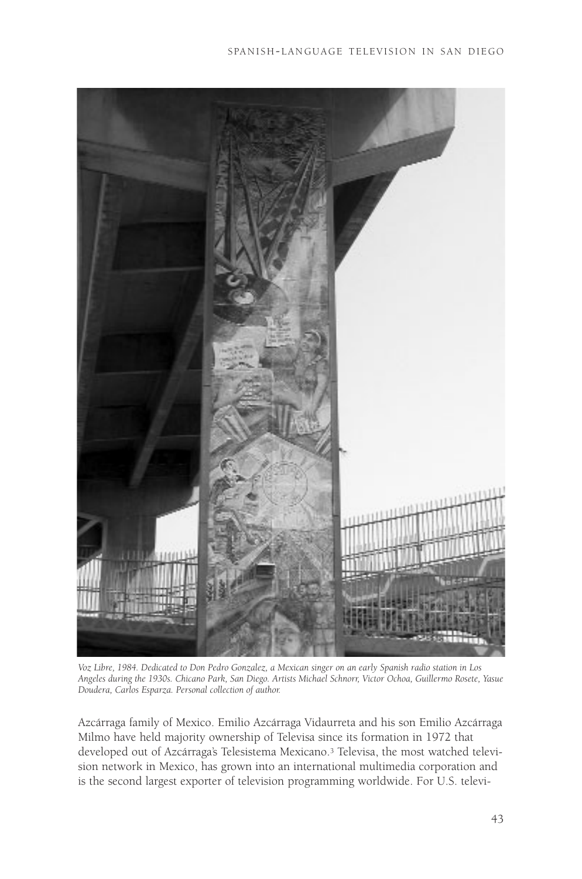

*Voz Libre, 1984. Dedicated to Don Pedro Gonzalez, a Mexican singer on an early Spanish radio station in Los Angeles during the 1930s. Chicano Park, San Diego. Artists Michael Schnorr, Victor Ochoa, Guillermo Rosete, Yasue Doudera, Carlos Esparza. Personal collection of author.*

Azcárraga family of Mexico. Emilio Azcárraga Vidaurreta and his son Emilio Azcárraga Milmo have held majority ownership of Televisa since its formation in 1972 that developed out of Azcárraga's Telesistema Mexicano.<sup>3</sup> Televisa, the most watched television network in Mexico, has grown into an international multimedia corporation and is the second largest exporter of television programming worldwide. For U.S. televi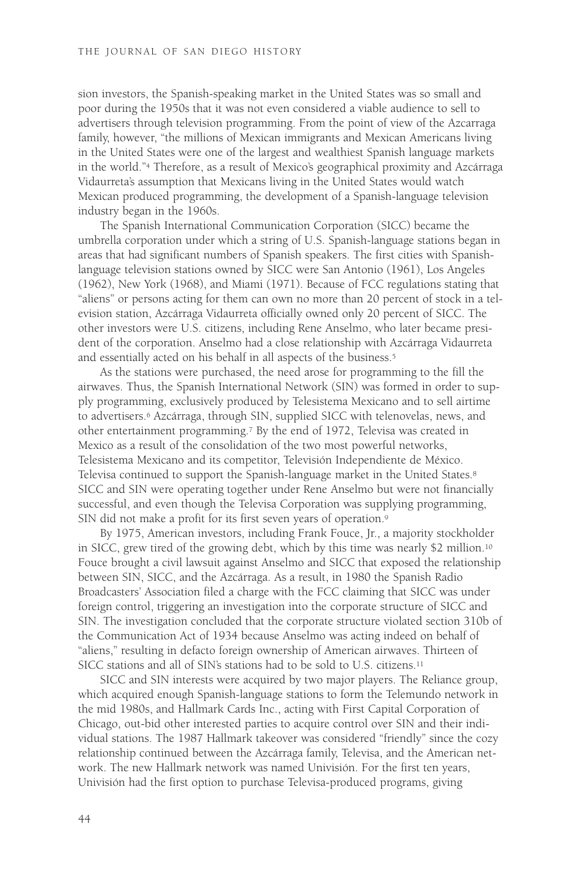sion investors, the Spanish-speaking market in the United States was so small and poor during the 1950s that it was not even considered a viable audience to sell to advertisers through television programming. From the point of view of the Azcarraga family, however, "the millions of Mexican immigrants and Mexican Americans living in the United States were one of the largest and wealthiest Spanish language markets in the world."4 Therefore, as a result of Mexico's geographical proximity and Azcárraga Vidaurreta's assumption that Mexicans living in the United States would watch Mexican produced programming, the development of a Spanish-language television industry began in the 1960s.

The Spanish International Communication Corporation (SICC) became the umbrella corporation under which a string of U.S. Spanish-language stations began in areas that had significant numbers of Spanish speakers. The first cities with Spanishlanguage television stations owned by SICC were San Antonio (1961), Los Angeles (1962), New York (1968), and Miami (1971). Because of FCC regulations stating that "aliens" or persons acting for them can own no more than 20 percent of stock in a television station, Azcárraga Vidaurreta officially owned only 20 percent of SICC. The other investors were U.S. citizens, including Rene Anselmo, who later became president of the corporation. Anselmo had a close relationship with Azcárraga Vidaurreta and essentially acted on his behalf in all aspects of the business.5

As the stations were purchased, the need arose for programming to the fill the airwaves. Thus, the Spanish International Network (SIN) was formed in order to supply programming, exclusively produced by Telesistema Mexicano and to sell airtime to advertisers.6 Azcárraga, through SIN, supplied SICC with telenovelas, news, and other entertainment programming.7 By the end of 1972, Televisa was created in Mexico as a result of the consolidation of the two most powerful networks, Telesistema Mexicano and its competitor, Televisión Independiente de México. Televisa continued to support the Spanish-language market in the United States.8 SICC and SIN were operating together under Rene Anselmo but were not financially successful, and even though the Televisa Corporation was supplying programming, SIN did not make a profit for its first seven years of operation.9

By 1975, American investors, including Frank Fouce, Jr., a majority stockholder in SICC, grew tired of the growing debt, which by this time was nearly \$2 million.10 Fouce brought a civil lawsuit against Anselmo and SICC that exposed the relationship between SIN, SICC, and the Azcárraga. As a result, in 1980 the Spanish Radio Broadcasters' Association filed a charge with the FCC claiming that SICC was under foreign control, triggering an investigation into the corporate structure of SICC and SIN. The investigation concluded that the corporate structure violated section 310b of the Communication Act of 1934 because Anselmo was acting indeed on behalf of "aliens," resulting in defacto foreign ownership of American airwaves. Thirteen of SICC stations and all of SIN's stations had to be sold to U.S. citizens.11

SICC and SIN interests were acquired by two major players. The Reliance group, which acquired enough Spanish-language stations to form the Telemundo network in the mid 1980s, and Hallmark Cards Inc., acting with First Capital Corporation of Chicago, out-bid other interested parties to acquire control over SIN and their individual stations. The 1987 Hallmark takeover was considered "friendly" since the cozy relationship continued between the Azcárraga family, Televisa, and the American network. The new Hallmark network was named Univisión. For the first ten years, Univisión had the first option to purchase Televisa-produced programs, giving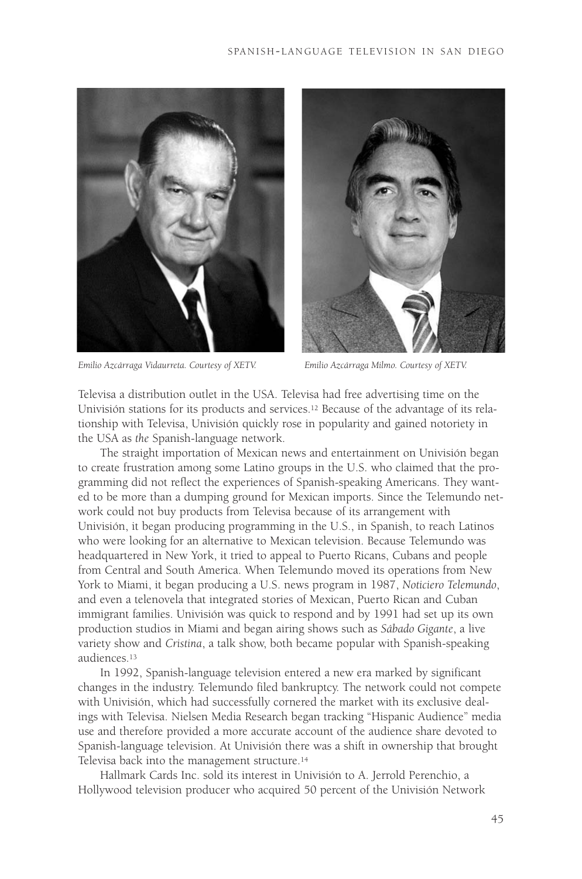

*Emilio Azcárraga Vidaurreta. Courtesy of XETV. Emilio Azcárraga Milmo. Courtesy of XETV.*



Televisa a distribution outlet in the USA. Televisa had free advertising time on the Univisión stations for its products and services.12 Because of the advantage of its relationship with Televisa, Univisión quickly rose in popularity and gained notoriety in the USA as *the* Spanish-language network.

The straight importation of Mexican news and entertainment on Univisión began to create frustration among some Latino groups in the U.S. who claimed that the programming did not reflect the experiences of Spanish-speaking Americans. They wanted to be more than a dumping ground for Mexican imports. Since the Telemundo network could not buy products from Televisa because of its arrangement with Univisión, it began producing programming in the U.S., in Spanish, to reach Latinos who were looking for an alternative to Mexican television. Because Telemundo was headquartered in New York, it tried to appeal to Puerto Ricans, Cubans and people from Central and South America. When Telemundo moved its operations from New York to Miami, it began producing a U.S. news program in 1987, *Noticiero Telemundo*, and even a telenovela that integrated stories of Mexican, Puerto Rican and Cuban immigrant families. Univisión was quick to respond and by 1991 had set up its own production studios in Miami and began airing shows such as *Sábado Gigante*, a live variety show and *Cristina*, a talk show, both became popular with Spanish-speaking audiences.13

In 1992, Spanish-language television entered a new era marked by significant changes in the industry. Telemundo filed bankruptcy. The network could not compete with Univisión, which had successfully cornered the market with its exclusive dealings with Televisa. Nielsen Media Research began tracking "Hispanic Audience" media use and therefore provided a more accurate account of the audience share devoted to Spanish-language television. At Univisión there was a shift in ownership that brought Televisa back into the management structure.14

Hallmark Cards Inc. sold its interest in Univisión to A. Jerrold Perenchio, a Hollywood television producer who acquired 50 percent of the Univisión Network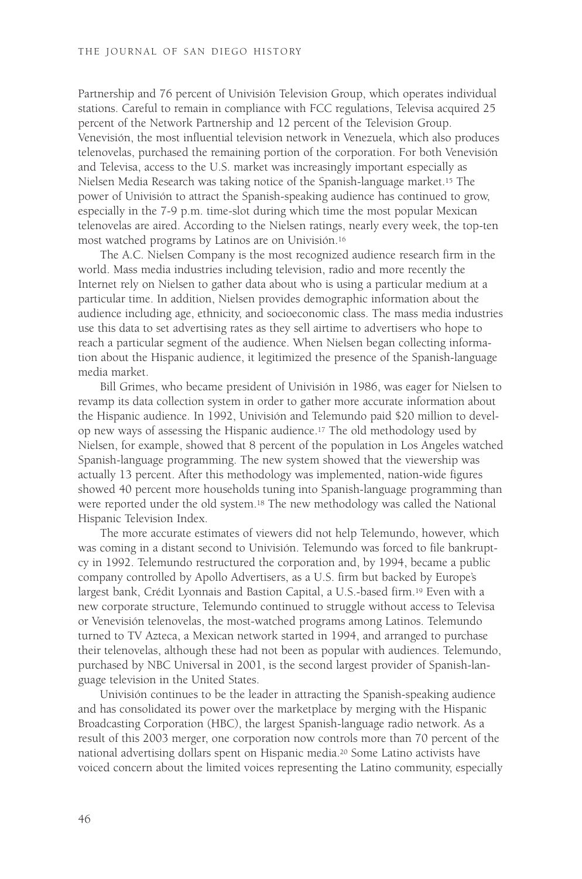Partnership and 76 percent of Univisión Television Group, which operates individual stations. Careful to remain in compliance with FCC regulations, Televisa acquired 25 percent of the Network Partnership and 12 percent of the Television Group. Venevisión, the most influential television network in Venezuela, which also produces telenovelas, purchased the remaining portion of the corporation. For both Venevisión and Televisa, access to the U.S. market was increasingly important especially as Nielsen Media Research was taking notice of the Spanish-language market.15 The power of Univisión to attract the Spanish-speaking audience has continued to grow, especially in the 7-9 p.m. time-slot during which time the most popular Mexican telenovelas are aired. According to the Nielsen ratings, nearly every week, the top-ten most watched programs by Latinos are on Univisión.16

The A.C. Nielsen Company is the most recognized audience research firm in the world. Mass media industries including television, radio and more recently the Internet rely on Nielsen to gather data about who is using a particular medium at a particular time. In addition, Nielsen provides demographic information about the audience including age, ethnicity, and socioeconomic class. The mass media industries use this data to set advertising rates as they sell airtime to advertisers who hope to reach a particular segment of the audience. When Nielsen began collecting information about the Hispanic audience, it legitimized the presence of the Spanish-language media market.

Bill Grimes, who became president of Univisión in 1986, was eager for Nielsen to revamp its data collection system in order to gather more accurate information about the Hispanic audience. In 1992, Univisión and Telemundo paid \$20 million to develop new ways of assessing the Hispanic audience.17 The old methodology used by Nielsen, for example, showed that 8 percent of the population in Los Angeles watched Spanish-language programming. The new system showed that the viewership was actually 13 percent. After this methodology was implemented, nation-wide figures showed 40 percent more households tuning into Spanish-language programming than were reported under the old system.18 The new methodology was called the National Hispanic Television Index.

The more accurate estimates of viewers did not help Telemundo, however, which was coming in a distant second to Univisión. Telemundo was forced to file bankruptcy in 1992. Telemundo restructured the corporation and, by 1994, became a public company controlled by Apollo Advertisers, as a U.S. firm but backed by Europe's largest bank, Crédit Lyonnais and Bastion Capital, a U.S.-based firm.19 Even with a new corporate structure, Telemundo continued to struggle without access to Televisa or Venevisión telenovelas, the most-watched programs among Latinos. Telemundo turned to TV Azteca, a Mexican network started in 1994, and arranged to purchase their telenovelas, although these had not been as popular with audiences. Telemundo, purchased by NBC Universal in 2001, is the second largest provider of Spanish-language television in the United States.

Univisión continues to be the leader in attracting the Spanish-speaking audience and has consolidated its power over the marketplace by merging with the Hispanic Broadcasting Corporation (HBC), the largest Spanish-language radio network. As a result of this 2003 merger, one corporation now controls more than 70 percent of the national advertising dollars spent on Hispanic media.20 Some Latino activists have voiced concern about the limited voices representing the Latino community, especially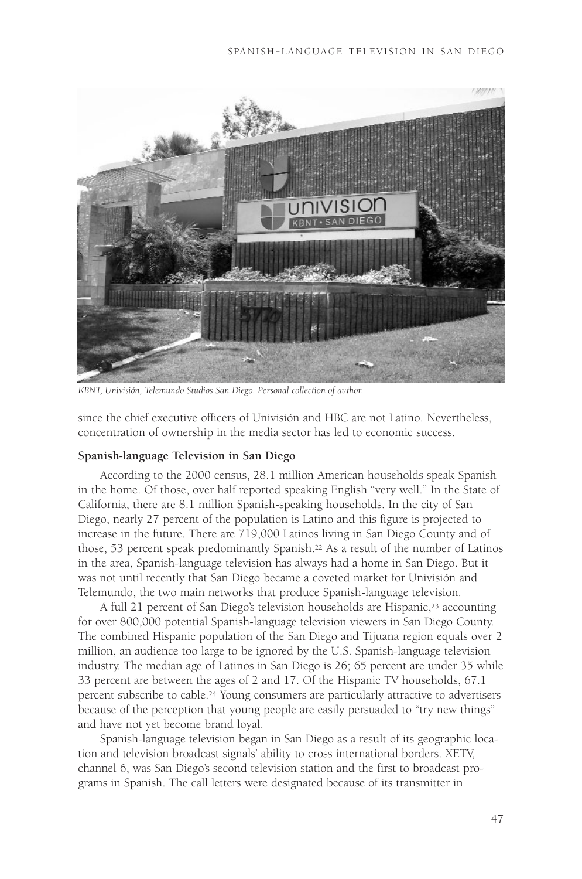

*KBNT, Univisión, Telemundo Studios San Diego. Personal collection of author.*

since the chief executive officers of Univisión and HBC are not Latino. Nevertheless, concentration of ownership in the media sector has led to economic success.

#### **Spanish-language Television in San Diego**

According to the 2000 census, 28.1 million American households speak Spanish in the home. Of those, over half reported speaking English "very well." In the State of California, there are 8.1 million Spanish-speaking households. In the city of San Diego, nearly 27 percent of the population is Latino and this figure is projected to increase in the future. There are 719,000 Latinos living in San Diego County and of those, 53 percent speak predominantly Spanish.22 As a result of the number of Latinos in the area, Spanish-language television has always had a home in San Diego. But it was not until recently that San Diego became a coveted market for Univisión and Telemundo, the two main networks that produce Spanish-language television.

A full 21 percent of San Diego's television households are Hispanic,<sup>23</sup> accounting for over 800,000 potential Spanish-language television viewers in San Diego County. The combined Hispanic population of the San Diego and Tijuana region equals over 2 million, an audience too large to be ignored by the U.S. Spanish-language television industry. The median age of Latinos in San Diego is 26; 65 percent are under 35 while 33 percent are between the ages of 2 and 17. Of the Hispanic TV households, 67.1 percent subscribe to cable.24 Young consumers are particularly attractive to advertisers because of the perception that young people are easily persuaded to "try new things" and have not yet become brand loyal.

Spanish-language television began in San Diego as a result of its geographic location and television broadcast signals' ability to cross international borders. XETV, channel 6, was San Diego's second television station and the first to broadcast programs in Spanish. The call letters were designated because of its transmitter in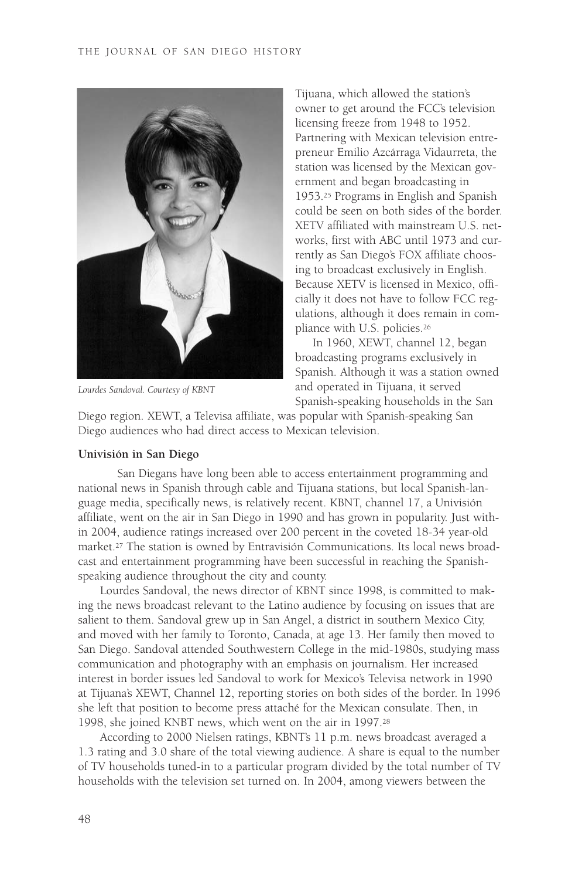

*Lourdes Sandoval. Courtesy of KBNT*

Tijuana, which allowed the station's owner to get around the FCC's television licensing freeze from 1948 to 1952. Partnering with Mexican television entrepreneur Emilio Azcárraga Vidaurreta, the station was licensed by the Mexican government and began broadcasting in 1953.25 Programs in English and Spanish could be seen on both sides of the border. XETV affiliated with mainstream U.S. networks, first with ABC until 1973 and currently as San Diego's FOX affiliate choosing to broadcast exclusively in English. Because XETV is licensed in Mexico, officially it does not have to follow FCC regulations, although it does remain in compliance with U.S. policies.26

In 1960, XEWT, channel 12, began broadcasting programs exclusively in Spanish. Although it was a station owned and operated in Tijuana, it served Spanish-speaking households in the San

Diego region. XEWT, a Televisa affiliate, was popular with Spanish-speaking San Diego audiences who had direct access to Mexican television.

### **Univisión in San Diego**

San Diegans have long been able to access entertainment programming and national news in Spanish through cable and Tijuana stations, but local Spanish-language media, specifically news, is relatively recent. KBNT, channel 17, a Univisión affiliate, went on the air in San Diego in 1990 and has grown in popularity. Just within 2004, audience ratings increased over 200 percent in the coveted 18-34 year-old market.27 The station is owned by Entravisión Communications. Its local news broadcast and entertainment programming have been successful in reaching the Spanishspeaking audience throughout the city and county.

Lourdes Sandoval, the news director of KBNT since 1998, is committed to making the news broadcast relevant to the Latino audience by focusing on issues that are salient to them. Sandoval grew up in San Angel, a district in southern Mexico City, and moved with her family to Toronto, Canada, at age 13. Her family then moved to San Diego. Sandoval attended Southwestern College in the mid-1980s, studying mass communication and photography with an emphasis on journalism. Her increased interest in border issues led Sandoval to work for Mexico's Televisa network in 1990 at Tijuana's XEWT, Channel 12, reporting stories on both sides of the border. In 1996 she left that position to become press attaché for the Mexican consulate. Then, in 1998, she joined KNBT news, which went on the air in 1997.28

According to 2000 Nielsen ratings, KBNT's 11 p.m. news broadcast averaged a 1.3 rating and 3.0 share of the total viewing audience. A share is equal to the number of TV households tuned-in to a particular program divided by the total number of TV households with the television set turned on. In 2004, among viewers between the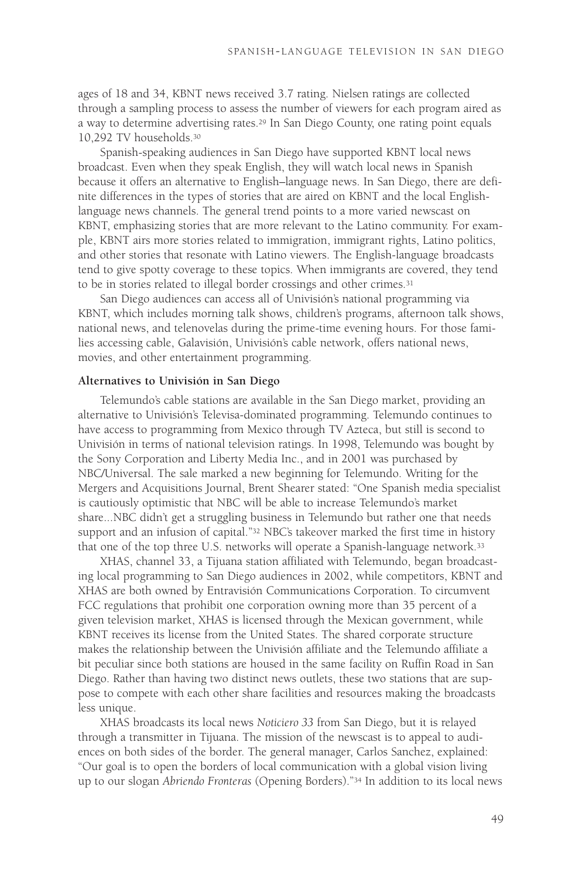ages of 18 and 34, KBNT news received 3.7 rating. Nielsen ratings are collected through a sampling process to assess the number of viewers for each program aired as a way to determine advertising rates.<sup>29</sup> In San Diego County, one rating point equals 10,292 TV households.30

Spanish-speaking audiences in San Diego have supported KBNT local news broadcast. Even when they speak English, they will watch local news in Spanish because it offers an alternative to English–language news. In San Diego, there are definite differences in the types of stories that are aired on KBNT and the local Englishlanguage news channels. The general trend points to a more varied newscast on KBNT, emphasizing stories that are more relevant to the Latino community. For example, KBNT airs more stories related to immigration, immigrant rights, Latino politics, and other stories that resonate with Latino viewers. The English-language broadcasts tend to give spotty coverage to these topics. When immigrants are covered, they tend to be in stories related to illegal border crossings and other crimes.31

San Diego audiences can access all of Univisión's national programming via KBNT, which includes morning talk shows, children's programs, afternoon talk shows, national news, and telenovelas during the prime-time evening hours. For those families accessing cable, Galavisión, Univisión's cable network, offers national news, movies, and other entertainment programming.

#### **Alternatives to Univisión in San Diego**

Telemundo's cable stations are available in the San Diego market, providing an alternative to Univisión's Televisa-dominated programming. Telemundo continues to have access to programming from Mexico through TV Azteca, but still is second to Univisión in terms of national television ratings. In 1998, Telemundo was bought by the Sony Corporation and Liberty Media Inc., and in 2001 was purchased by NBC/Universal. The sale marked a new beginning for Telemundo. Writing for the Mergers and Acquisitions Journal, Brent Shearer stated: "One Spanish media specialist is cautiously optimistic that NBC will be able to increase Telemundo's market share...NBC didn't get a struggling business in Telemundo but rather one that needs support and an infusion of capital."32 NBC's takeover marked the first time in history that one of the top three U.S. networks will operate a Spanish-language network.<sup>33</sup>

XHAS, channel 33, a Tijuana station affiliated with Telemundo, began broadcasting local programming to San Diego audiences in 2002, while competitors, KBNT and XHAS are both owned by Entravisión Communications Corporation. To circumvent FCC regulations that prohibit one corporation owning more than 35 percent of a given television market, XHAS is licensed through the Mexican government, while KBNT receives its license from the United States. The shared corporate structure makes the relationship between the Univisión affiliate and the Telemundo affiliate a bit peculiar since both stations are housed in the same facility on Ruffin Road in San Diego. Rather than having two distinct news outlets, these two stations that are suppose to compete with each other share facilities and resources making the broadcasts less unique.

XHAS broadcasts its local news *Noticiero 33* from San Diego, but it is relayed through a transmitter in Tijuana. The mission of the newscast is to appeal to audiences on both sides of the border. The general manager, Carlos Sanchez, explained: "Our goal is to open the borders of local communication with a global vision living up to our slogan *Abriendo Fronteras* (Opening Borders)."34 In addition to its local news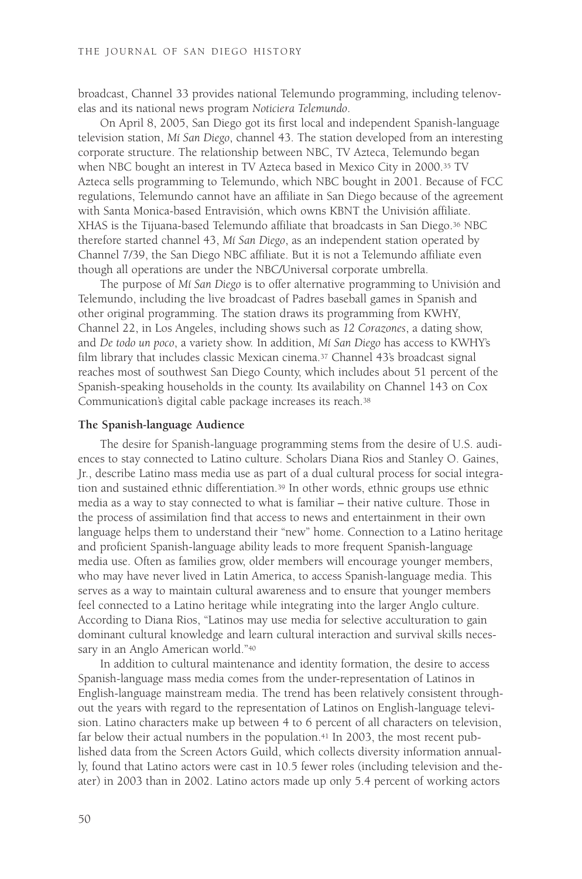broadcast, Channel 33 provides national Telemundo programming, including telenovelas and its national news program *Noticiera Telemundo*.

On April 8, 2005, San Diego got its first local and independent Spanish-language television station, *Mí San Diego*, channel 43. The station developed from an interesting corporate structure. The relationship between NBC, TV Azteca, Telemundo began when NBC bought an interest in TV Azteca based in Mexico City in 2000.35 TV Azteca sells programming to Telemundo, which NBC bought in 2001. Because of FCC regulations, Telemundo cannot have an affiliate in San Diego because of the agreement with Santa Monica-based Entravisión, which owns KBNT the Univisión affiliate. XHAS is the Tijuana-based Telemundo affiliate that broadcasts in San Diego.36 NBC therefore started channel 43, *Mí San Diego*, as an independent station operated by Channel 7/39, the San Diego NBC affiliate. But it is not a Telemundo affiliate even though all operations are under the NBC/Universal corporate umbrella.

The purpose of *Mí San Diego* is to offer alternative programming to Univisión and Telemundo, including the live broadcast of Padres baseball games in Spanish and other original programming. The station draws its programming from KWHY, Channel 22, in Los Angeles, including shows such as *12 Corazones*, a dating show, and *De todo un poco*, a variety show. In addition, *Mí San Diego* has access to KWHY's film library that includes classic Mexican cinema.37 Channel 43's broadcast signal reaches most of southwest San Diego County, which includes about 51 percent of the Spanish-speaking households in the county. Its availability on Channel 143 on Cox Communication's digital cable package increases its reach.38

#### **The Spanish-language Audience**

The desire for Spanish-language programming stems from the desire of U.S. audiences to stay connected to Latino culture. Scholars Diana Rios and Stanley O. Gaines, Jr., describe Latino mass media use as part of a dual cultural process for social integration and sustained ethnic differentiation.39 In other words, ethnic groups use ethnic media as a way to stay connected to what is familiar – their native culture. Those in the process of assimilation find that access to news and entertainment in their own language helps them to understand their "new" home. Connection to a Latino heritage and proficient Spanish-language ability leads to more frequent Spanish-language media use. Often as families grow, older members will encourage younger members, who may have never lived in Latin America, to access Spanish-language media. This serves as a way to maintain cultural awareness and to ensure that younger members feel connected to a Latino heritage while integrating into the larger Anglo culture. According to Diana Rios, "Latinos may use media for selective acculturation to gain dominant cultural knowledge and learn cultural interaction and survival skills necessary in an Anglo American world."40

In addition to cultural maintenance and identity formation, the desire to access Spanish-language mass media comes from the under-representation of Latinos in English-language mainstream media. The trend has been relatively consistent throughout the years with regard to the representation of Latinos on English-language television. Latino characters make up between 4 to 6 percent of all characters on television, far below their actual numbers in the population.<sup>41</sup> In 2003, the most recent published data from the Screen Actors Guild, which collects diversity information annually, found that Latino actors were cast in 10.5 fewer roles (including television and theater) in 2003 than in 2002. Latino actors made up only 5.4 percent of working actors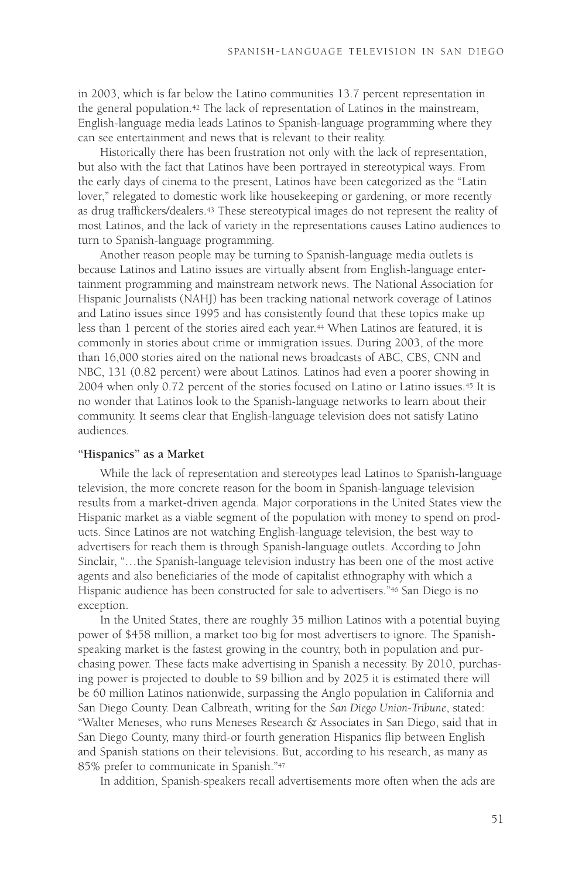in 2003, which is far below the Latino communities 13.7 percent representation in the general population.42 The lack of representation of Latinos in the mainstream, English-language media leads Latinos to Spanish-language programming where they can see entertainment and news that is relevant to their reality.

Historically there has been frustration not only with the lack of representation, but also with the fact that Latinos have been portrayed in stereotypical ways. From the early days of cinema to the present, Latinos have been categorized as the "Latin lover," relegated to domestic work like housekeeping or gardening, or more recently as drug traffickers/dealers.43 These stereotypical images do not represent the reality of most Latinos, and the lack of variety in the representations causes Latino audiences to turn to Spanish-language programming.

Another reason people may be turning to Spanish-language media outlets is because Latinos and Latino issues are virtually absent from English-language entertainment programming and mainstream network news. The National Association for Hispanic Journalists (NAHJ) has been tracking national network coverage of Latinos and Latino issues since 1995 and has consistently found that these topics make up less than 1 percent of the stories aired each year.<sup>44</sup> When Latinos are featured, it is commonly in stories about crime or immigration issues. During 2003, of the more than 16,000 stories aired on the national news broadcasts of ABC, CBS, CNN and NBC, 131 (0.82 percent) were about Latinos. Latinos had even a poorer showing in 2004 when only 0.72 percent of the stories focused on Latino or Latino issues.45 It is no wonder that Latinos look to the Spanish-language networks to learn about their community. It seems clear that English-language television does not satisfy Latino audiences.

### **"Hispanics" as a Market**

While the lack of representation and stereotypes lead Latinos to Spanish-language television, the more concrete reason for the boom in Spanish-language television results from a market-driven agenda. Major corporations in the United States view the Hispanic market as a viable segment of the population with money to spend on products. Since Latinos are not watching English-language television, the best way to advertisers for reach them is through Spanish-language outlets. According to John Sinclair, "…the Spanish-language television industry has been one of the most active agents and also beneficiaries of the mode of capitalist ethnography with which a Hispanic audience has been constructed for sale to advertisers."46 San Diego is no exception.

In the United States, there are roughly 35 million Latinos with a potential buying power of \$458 million, a market too big for most advertisers to ignore. The Spanishspeaking market is the fastest growing in the country, both in population and purchasing power. These facts make advertising in Spanish a necessity. By 2010, purchasing power is projected to double to \$9 billion and by 2025 it is estimated there will be 60 million Latinos nationwide, surpassing the Anglo population in California and San Diego County. Dean Calbreath, writing for the *San Diego Union-Tribune*, stated: "Walter Meneses, who runs Meneses Research & Associates in San Diego, said that in San Diego County, many third-or fourth generation Hispanics flip between English and Spanish stations on their televisions. But, according to his research, as many as 85% prefer to communicate in Spanish."47

In addition, Spanish-speakers recall advertisements more often when the ads are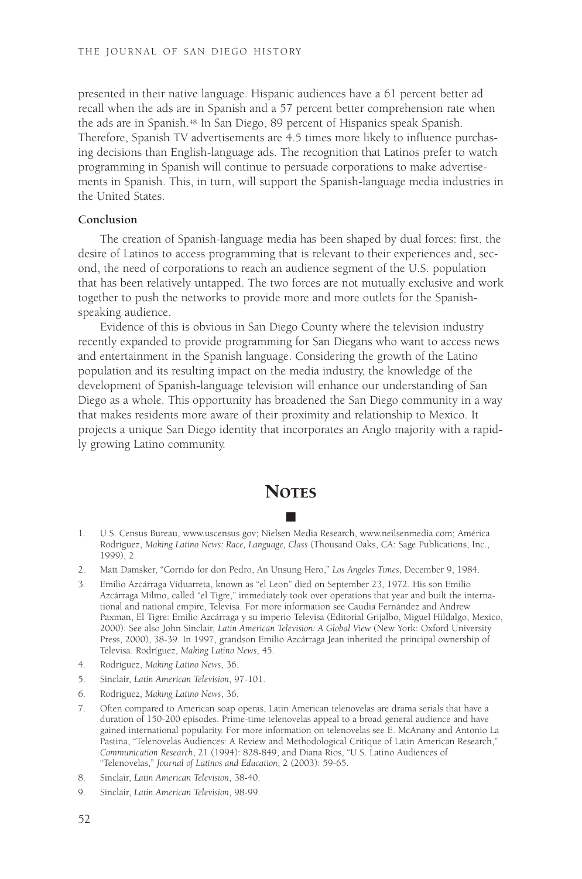presented in their native language. Hispanic audiences have a 61 percent better ad recall when the ads are in Spanish and a 57 percent better comprehension rate when the ads are in Spanish.<sup>48</sup> In San Diego, 89 percent of Hispanics speak Spanish. Therefore, Spanish TV advertisements are 4.5 times more likely to influence purchasing decisions than English-language ads. The recognition that Latinos prefer to watch programming in Spanish will continue to persuade corporations to make advertisements in Spanish. This, in turn, will support the Spanish-language media industries in the United States.

### **Conclusion**

The creation of Spanish-language media has been shaped by dual forces: first, the desire of Latinos to access programming that is relevant to their experiences and, second, the need of corporations to reach an audience segment of the U.S. population that has been relatively untapped. The two forces are not mutually exclusive and work together to push the networks to provide more and more outlets for the Spanishspeaking audience.

Evidence of this is obvious in San Diego County where the television industry recently expanded to provide programming for San Diegans who want to access news and entertainment in the Spanish language. Considering the growth of the Latino population and its resulting impact on the media industry, the knowledge of the development of Spanish-language television will enhance our understanding of San Diego as a whole. This opportunity has broadened the San Diego community in a way that makes residents more aware of their proximity and relationship to Mexico. It projects a unique San Diego identity that incorporates an Anglo majority with a rapidly growing Latino community.

## **NOTES** ■

- 1. U.S. Census Bureau, www.uscensus.gov; Nielsen Media Research, www.neilsenmedia.com; América Rodríguez, *Making Latino News: Race, Language, Class* (Thousand Oaks, CA: Sage Publications, Inc., 1999), 2.
- 2. Matt Damsker, "Corrido for don Pedro, An Unsung Hero," *Los Angeles Times*, December 9, 1984.
- 3. Emilio Azcárraga Viduarreta, known as "el Leon" died on September 23, 1972. His son Emilio Azcárraga Milmo, called "el Tigre," immediately took over operations that year and built the international and national empire, Televisa. For more information see Caudia Fernández and Andrew Paxman, El Tigre: Emilio Azcárraga y su imperio Televisa (Editorial Grijalbo, Miguel Hildalgo, Mexico, 2000). See also John Sinclair, *Latin American Television: A Global View* (New York: Oxford University Press, 2000), 38-39. In 1997, grandson Emilio Azcárraga Jean inherited the principal ownership of Televisa. Rodríguez, *Making Latino News*, 45.
- 4. Rodríguez, *Making Latino News*, 36.
- 5. Sinclair, *Latin American Television*, 97-101.
- 6. Rodriguez, *Making Latino News*, 36.
- 7. Often compared to American soap operas, Latin American telenovelas are drama serials that have a duration of 150-200 episodes. Prime-time telenovelas appeal to a broad general audience and have gained international popularity. For more information on telenovelas see E. McAnany and Antonio La Pastina, "Telenovelas Audiences: A Review and Methodological Critique of Latin American Research," *Communication Research*, 21 (1994): 828-849, and Diana Rios, "U.S. Latino Audiences of "Telenovelas," *Journal of Latinos and Education*, 2 (2003): 59-65.
- 8. Sinclair, *Latin American Television*, 38-40.
- 9. Sinclair, *Latin American Television*, 98-99.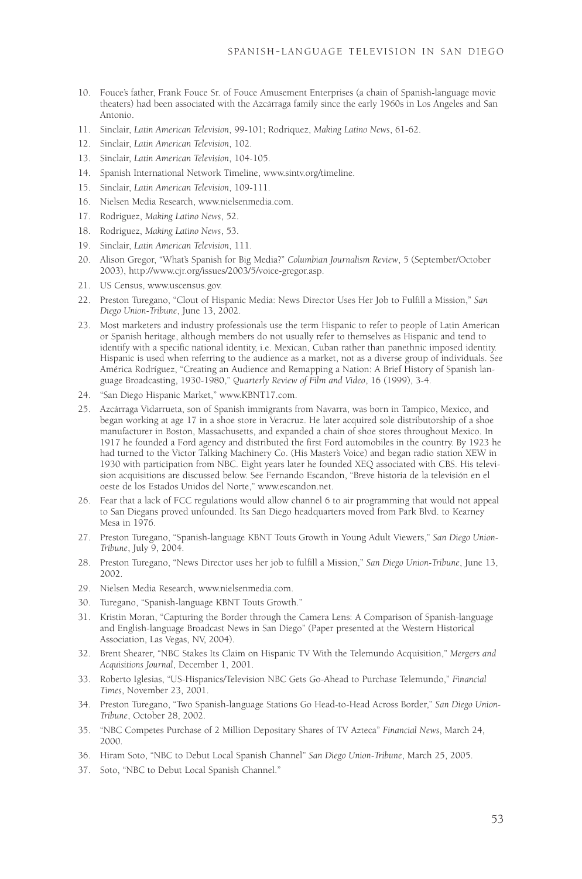- 10. Fouce's father, Frank Fouce Sr. of Fouce Amusement Enterprises (a chain of Spanish-language movie theaters) had been associated with the Azcárraga family since the early 1960s in Los Angeles and San Antonio.
- 11. Sinclair, *Latin American Television*, 99-101; Rodriquez, *Making Latino News*, 61-62.
- 12. Sinclair, *Latin American Television*, 102.
- 13. Sinclair, *Latin American Television*, 104-105.
- 14. Spanish International Network Timeline, www.sintv.org/timeline.
- 15. Sinclair, *Latin American Television*, 109-111.
- 16. Nielsen Media Research, www.nielsenmedia.com.
- 17. Rodriguez, *Making Latino News*, 52.
- 18. Rodriguez, *Making Latino News*, 53.
- 19. Sinclair, *Latin American Television*, 111.
- 20. Alison Gregor, "What's Spanish for Big Media?" *Columbian Journalism Review*, 5 (September/October 2003), http://www.cjr.org/issues/2003/5/voice-gregor.asp.
- 21. US Census, www.uscensus.gov.
- 22. Preston Turegano, "Clout of Hispanic Media: News Director Uses Her Job to Fulfill a Mission," *San Diego Union-Tribune*, June 13, 2002.
- 23. Most marketers and industry professionals use the term Hispanic to refer to people of Latin American or Spanish heritage, although members do not usually refer to themselves as Hispanic and tend to identify with a specific national identity, i.e. Mexican, Cuban rather than panethnic imposed identity. Hispanic is used when referring to the audience as a market, not as a diverse group of individuals. See América Rodríguez, "Creating an Audience and Remapping a Nation: A Brief History of Spanish language Broadcasting, 1930-1980," *Quarterly Review of Film and Video*, 16 (1999), 3-4.
- 24. "San Diego Hispanic Market," www.KBNT17.com.
- 25. Azcárraga Vidarrueta, son of Spanish immigrants from Navarra, was born in Tampico, Mexico, and began working at age 17 in a shoe store in Veracruz. He later acquired sole distributorship of a shoe manufacturer in Boston, Massachusetts, and expanded a chain of shoe stores throughout Mexico. In 1917 he founded a Ford agency and distributed the first Ford automobiles in the country. By 1923 he had turned to the Victor Talking Machinery Co. (His Master's Voice) and began radio station XEW in 1930 with participation from NBC. Eight years later he founded XEQ associated with CBS. His television acquisitions are discussed below. See Fernando Escandon, "Breve historia de la televisión en el oeste de los Estados Unidos del Norte," www.escandon.net.
- 26. Fear that a lack of FCC regulations would allow channel 6 to air programming that would not appeal to San Diegans proved unfounded. Its San Diego headquarters moved from Park Blvd. to Kearney Mesa in 1976.
- 27. Preston Turegano, "Spanish-language KBNT Touts Growth in Young Adult Viewers," *San Diego Union-Tribune*, July 9, 2004.
- 28. Preston Turegano, "News Director uses her job to fulfill a Mission," *San Diego Union-Tribune*, June 13, 2002.
- 29. Nielsen Media Research, www.nielsenmedia.com.
- 30. Turegano, "Spanish-language KBNT Touts Growth."
- 31. Kristin Moran, "Capturing the Border through the Camera Lens: A Comparison of Spanish-language and English-language Broadcast News in San Diego" (Paper presented at the Western Historical Association, Las Vegas, NV, 2004).
- 32. Brent Shearer, "NBC Stakes Its Claim on Hispanic TV With the Telemundo Acquisition," *Mergers and Acquisitions Journal*, December 1, 2001.
- 33. Roberto Iglesias, "US-Hispanics/Television NBC Gets Go-Ahead to Purchase Telemundo," *Financial Times*, November 23, 2001.
- 34. Preston Turegano, "Two Spanish-language Stations Go Head-to-Head Across Border," *San Diego Union-Tribune*, October 28, 2002.
- 35. "NBC Competes Purchase of 2 Million Depositary Shares of TV Azteca" *Financial News*, March 24, 2000.
- 36. Hiram Soto, "NBC to Debut Local Spanish Channel" *San Diego Union-Tribune*, March 25, 2005.
- 37. Soto, "NBC to Debut Local Spanish Channel."